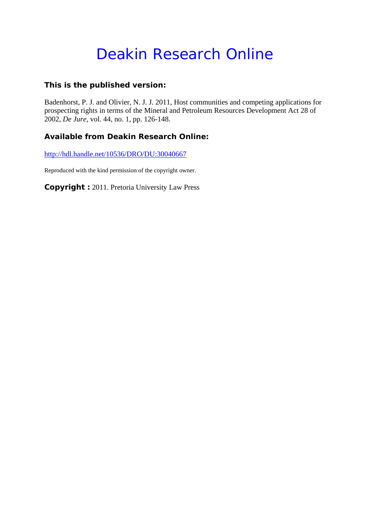# Deakin Research Online

## **This is the published version:**

Badenhorst, P. J. and Olivier, N. J. J. 2011, Host communities and competing applications for prospecting rights in terms of the Mineral and Petroleum Resources Development Act 28 of 2002*, De Jure*, vol. 44, no. 1, pp. 126-148.

## **Available from Deakin Research Online:**

http://hdl.handle.net/10536/DRO/DU:30040667

Reproduced with the kind permission of the copyright owner.

**Copyright :** 2011. Pretoria University Law Press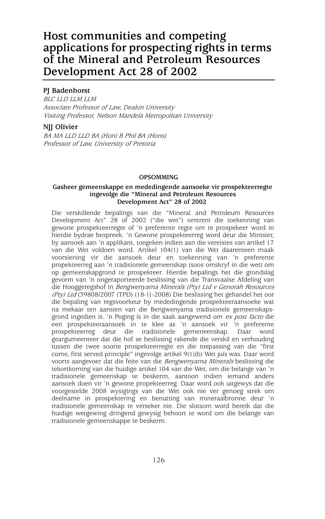# **Host communities and competing applications for prospecting rights in terms of the Mineral and Petroleum Resources Development Act 28 of 2002**

#### **PJ Badenhorst**

BLC LLD LLM LLM Associate Professor of Law, Deakin University Visiting Professor, Nelson Mandela Metropolitan University

#### **NJJ Olivier**

BA MA LLD LLD BA (Hon) B Phil BA (Hons) Professor of Law, University of Pretoria

#### **OPSOMMING**

#### **Gasheer gemeenskappe en mededingende aansoeke vir prospekteerregte ingevolge die "Mineral and Petroleum Resources Development Act" 28 of 2002**

Die verskillende bepalings van die "Mineral and Petroleum Resources Development Act" 28 of 2002 ("die wet") omtrent die toekenning van gewone prospekteerregte of 'n preferente regte om te prospekeer word in hierdie bydrae bespreek. 'n Gewone prospekteerreg word deur die Minister, by aansoek aan 'n applikant, toegeken indien aan die vereistes van artikel 17 van die Wet voldoen word. Artikel 104(1) van die Wet daarenteen maak voorsiening vir die aansoek deur en toekenning van 'n preferente propekteerreg aan 'n tradisionele gemeenskap (soos omskryf in die wet) om op gemeenskapgrond te prospekteer. Hierdie bepalings het die grondslag gevorm van 'n ongeraporteerde beslissing van die Transvaalse Afdeling van die Hooggeregshof in Bengwenyama Minerals (Pty) Ltd v Genorah Resources (Pty) Ltd (39808/2007 (TPD) (18-11-2008) Die beslissing het gehandel het oor die bepaling van regsvoorkeur by mededingende prospekteeraansoeke wat na mekaar ten aansien van die Bengwenyama tradisionele gemeenskapsgrond ingedien is. 'n Poging is in die saak aangewend om ex post facto die een prospekteeraansoek in te klee as 'n aansoek vir 'n preferente prospekteerreg deur die tradisionele gemeneenskap. Daar word geargumeenteer dat die hof se beslissing rakende die verskil en verhouding tussen die twee soorte prospekteerregte en die toepassing van die "first come, first served principle" ingevolge artikel 9(1)(b) Wet juis was. Daar word voorts aangevoer dat die feite van die Bengwenyama Minerals beslissing die tekortkoming van die huidige artikel 104 van die Wet, om die belange van 'n tradisionele gemeenskap te beskerm, aantoon indien iemand anders aansoek doen vir 'n gewone propekteerreg. Daar word ook uitgewys dat die voorgestelde 2008 wysigings van die Wet ook nie ver genoeg strek om deelname in prospektering en benutting van mineraalbronne deur 'n tradisionele gemeenskap te verseker nie. Die slotsom word bereik dat die huidige wetgewing dringend gewysig behoort te word om die belange van tradisionele gemeenskappe te beskerm.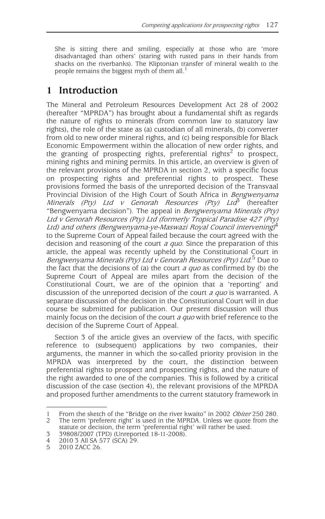She is sitting there and smiling, especially at those who are 'more disadvantaged than others' (staring with rusted pans in their hands from shacks on the riverbanks). The Kliptonian transfer of mineral wealth to the people remains the biggest myth of them all.<sup>1</sup>

# **1 Introduction**

The Mineral and Petroleum Resources Development Act 28 of 2002 (hereafter "MPRDA") has brought about a fundamental shift as regards the nature of rights to minerals (from common law to statutory law rights), the role of the state as (a) custodian of all minerals, (b) converter from old to new order mineral rights, and (c) being responsible for Black Economic Empowerment within the allocation of new order rights, and the granting of prospecting rights, preferential rights<sup>2</sup> to prospect, mining rights and mining permits. In this article, an overview is given of the relevant provisions of the MPRDA in section 2, with a specific focus on prospecting rights and preferential rights to prospect. These provisions formed the basis of the unreported decision of the Transvaal Provincial Division of the High Court of South Africa in Bengwenyama Minerals (Pty) Ltd v Genorah Resources (Pty) Ltd<sup>3</sup> (hereafter "Bengwenyama decision"). The appeal in Bengwenyama Minerals (Pty) Ltd v Genorah Resources (Pty) Ltd (formerly Tropical Paradise 427 (Pty) Ltd) and others (Bengwenyama-ye-Maswazi Royal Council intervening)<sup>4</sup> to the Supreme Court of Appeal failed because the court agreed with the decision and reasoning of the court *a quo*. Since the preparation of this article, the appeal was recently upheld by the Constitutional Court in Bengwenyama Minerals (Pty) Ltd v Genorah Resources (Pty) Ltd.<sup>5</sup> Due to the fact that the decisions of (a) the court  $a$  quo as confirmed by (b) the Supreme Court of Appeal are miles apart from the decision of the Constitutional Court, we are of the opinion that a 'reporting' and discussion of the unreported decision of the court *a quo* is warranted. A separate discussion of the decision in the Constitutional Court will in due course be submitted for publication. Our present discussion will thus mainly focus on the decision of the court *a quo* with brief reference to the decision of the Supreme Court of Appeal.

Section 3 of the article gives an overview of the facts, with specific reference to (subsequent) applications by two companies, their arguments, the manner in which the so-called priority provision in the MPRDA was interpreted by the court, the distinction between preferential rights to prospect and prospecting rights, and the nature of the right awarded to one of the companies. This is followed by a critical discussion of the case (section 4), the relevant provisions of the MPRDA and proposed further amendments to the current statutory framework in

<sup>1</sup> From the sketch of the "Bridge on the river kwaito" in 2002 *Obiter* 250 280.<br>2 The term 'preferent right' is used in the MPRDA. Unless we quote from the The term 'preferent right' is used in the MPRDA. Unless we quote from the

statute or decision, the term 'preferential right' will rather be used.

<sup>3 39808/2007 (</sup>TPD) (Unreported 18-11-2008).

<sup>4 2010 3</sup> All SA 577 (SCA) 29.<br>5 2010 7ACC 26

<sup>2010</sup> ZACC 26.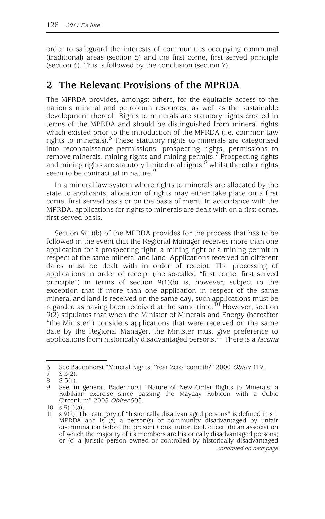order to safeguard the interests of communities occupying communal (traditional) areas (section 5) and the first come, first served principle (section 6). This is followed by the conclusion (section 7).

## **2 The Relevant Provisions of the MPRDA**

The MPRDA provides, amongst others, for the equitable access to the nation's mineral and petroleum resources, as well as the sustainable development thereof. Rights to minerals are statutory rights created in terms of the MPRDA and should be distinguished from mineral rights which existed prior to the introduction of the MPRDA (i.e. common law rights to minerals). $<sup>6</sup>$  These statutory rights to minerals are categorised</sup> into reconnaissance permissions, prospecting rights, permissions to remove minerals, mining rights and mining permits.7 Prospecting rights and mining rights are statutory limited real rights, $8$  whilst the other rights seem to be contractual in nature.<sup>9</sup>

In a mineral law system where rights to minerals are allocated by the state to applicants, allocation of rights may either take place on a first come, first served basis or on the basis of merit. In accordance with the MPRDA, applications for rights to minerals are dealt with on a first come, first served basis.

Section 9(1)(b) of the MPRDA provides for the process that has to be followed in the event that the Regional Manager receives more than one application for a prospecting right, a mining right or a mining permit in respect of the same mineral and land. Applications received on different dates must be dealt with in order of receipt. The processing of applications in order of receipt (the so-called "first come, first served principle") in terms of section 9(1)(b) is, however, subject to the exception that if more than one application in respect of the same mineral and land is received on the same day, such applications must be regarded as having been received at the same time.<sup>10</sup> However, section 9(2) stipulates that when the Minister of Minerals and Energy (hereafter "the Minister") considers applications that were received on the same date by the Regional Manager, the Minister must give preference to applications from historically disadvantaged persons.<sup>11</sup> There is a *lacuna* 

<sup>6</sup> See Badenhorst "Mineral Rights: 'Year Zero' cometh?" 2000 Obiter 119.<br>7 S 3(2)

 $\begin{array}{cc} 7 & S \ 3(2) \\ 8 & S \ 5(1) \end{array}$ 

 $\begin{matrix} 8 & S & 5(1) \\ 9 & \text{Seo} & \text{if} \end{matrix}$ 

See, in general, Badenhorst "Nature of New Order Rights to Minerals: a Rubikian exercise since passing the Mayday Rubicon with a Cubic Circonium" 2005 Obiter 505.

<sup>10</sup> s 9(1)(a).

<sup>11</sup> s 9(2). The category of "historically disadvantaged persons" is defined in s 1 MPRDA and is (a) a person(s) or community disadvantaged by unfair discrimination before the present Constitution took effect; (b) an association of which the majority of its members are historically disadvantaged persons; or (c) a juristic person owned or controlled by historically disadvantaged continued on next page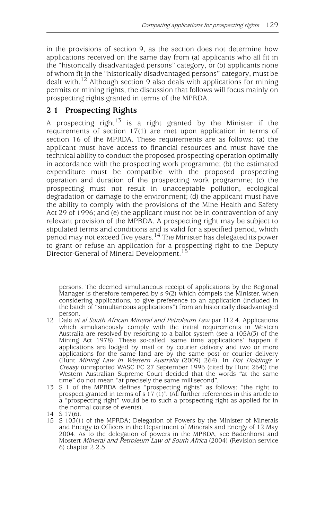in the provisions of section 9, as the section does not determine how applications received on the same day from (a) applicants who all fit in the "historically disadvantaged persons" category, or (b) applicants none of whom fit in the "historically disadvantaged persons" category, must be dealt with.<sup>12</sup> Although section 9 also deals with applications for mining permits or mining rights, the discussion that follows will focus mainly on prospecting rights granted in terms of the MPRDA.

## **2 1 Prospecting Rights**

A prospecting right<sup>13</sup> is a right granted by the Minister if the requirements of section 17(1) are met upon application in terms of section 16 of the MPRDA. These requirements are as follows: (a) the applicant must have access to financial resources and must have the technical ability to conduct the proposed prospecting operation optimally in accordance with the prospecting work programme; (b) the estimated expenditure must be compatible with the proposed prospecting operation and duration of the prospecting work programme; (c) the prospecting must not result in unacceptable pollution, ecological degradation or damage to the environment; (d) the applicant must have the ability to comply with the provisions of the Mine Health and Safety Act 29 of 1996; and (e) the applicant must not be in contravention of any relevant provision of the MPRDA. A prospecting right may be subject to stipulated terms and conditions and is valid for a specified period, which period may not exceed five years.14 The Minister has delegated its power to grant or refuse an application for a prospecting right to the Deputy Director-General of Mineral Development.<sup>15</sup>

<sup>11</sup> persons. The deemed simultaneous receipt of applications by the Regional Manager is therefore tempered by s 9(2) which compels the Minister, when considering applications, to give preference to an application (included in the batch of "simultaneous applications") from an historically disadvantaged person.

<sup>12</sup> Dale et al South African Mineral and Petroleum Law par 112.4. Applications which simultaneously comply with the initial requirements in Western Australia are resolved by resorting to a ballot system (see a 105A(3) of the Mining Act 1978). These so-called 'same time applications' happen if applications are lodged by mail or by courier delivery and two or more applications for the same land are by the same post or courier delivery (Hunt Mining Law in Western Australia (2009) 264). In Hot Holdings v Creasy (unreported WASC FC 27 September 1996 (cited by Hunt 264)) the Western Australian Supreme Court decided that the words "at the same time" do not mean "at precisely the same millisecond".

<sup>13</sup> S 1 of the MPRDA defines "prospecting rights" as follows: "the right to prospect granted in terms of s 17 (1)". (All further references in this article to a "prospecting right" would be to such a prospecting right as applied for in the normal course of events).

<sup>14</sup> S 17(6).

<sup>15</sup> S 103(1) of the MPRDA; Delegation of Powers by the Minister of Minerals and Energy to Officers in the Department of Minerals and Energy of 12 May 2004. As to the delegation of powers in the MPRDA, see Badenhorst and Mostert Mineral and Petroleum Law of South Africa (2004) (Revision service 6) chapter 2.2.5.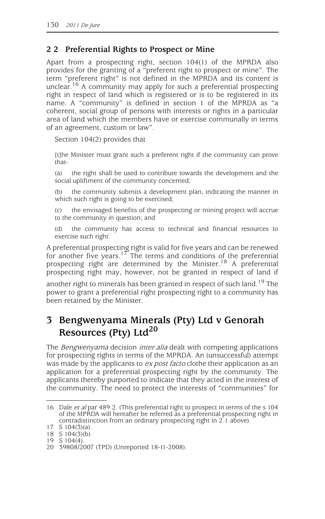## **2 2 Preferential Rights to Prospect or Mine**

Apart from a prospecting right, section 104(1) of the MPRDA also provides for the granting of a "preferent right to prospect or mine". The term "preferent right" is not defined in the MPRDA and its content is unclear.<sup>16</sup> A community may apply for such a preferential prospecting right in respect of land which is registered or is to be registered in its name. A "community" is defined in section 1 of the MPRDA as "a coherent, social group of persons with interests or rights in a particular area of land which the members have or exercise communally in terms of an agreement, custom or law".

Section 104(2) provides that

[t]he Minister must grant such a preferent right if the community can prove that-

(a) the right shall be used to contribute towards the development and the social upliftment of the community concerned;

the community submits a development plan, indicating the manner in which such right is going to be exercised;

(c) the envisaged benefits of the prospecting or mining project will accrue to the community in question; and

(d) the community has access to technical and financial resources to exercise such right.

A preferential prospecting right is valid for five years and can be renewed for another five years.<sup>17</sup> The terms and conditions of the preferential prospecting right are determined by the Minister.<sup>18</sup> A preferential prospecting right may, however, not be granted in respect of land if

another right to minerals has been granted in respect of such land.<sup>19</sup> The power to grant a preferential right prospecting right to a community has been retained by the Minister.

# **3 Bengwenyama Minerals (Pty) Ltd v Genorah Resources (Pty) Ltd<sup>20</sup>**

The *Bengwenyama* decision *inter alia* dealt with competing applications for prospecting rights in terms of the MPRDA. An (unsuccessful) attempt was made by the applicants to ex post facto clothe their application as an application for a preferential prospecting right by the community. The applicants thereby purported to indicate that they acted in the interest of the community. The need to protect the interests of "communities" for

<sup>16</sup> Dale et al par 489.2. (This preferential right to prospect in terms of the s 104 of the MPRDA will hereafter be referred as a preferential prospecting right in contradistinction from an ordinary prospecting right in 2.1 above).

<sup>17</sup> S 104(3)(a).

<sup>18</sup> S 104(3)(b).

<sup>19</sup> S 104(4).

<sup>20 39808/2007 (</sup>TPD) (Unreported 18-11-2008).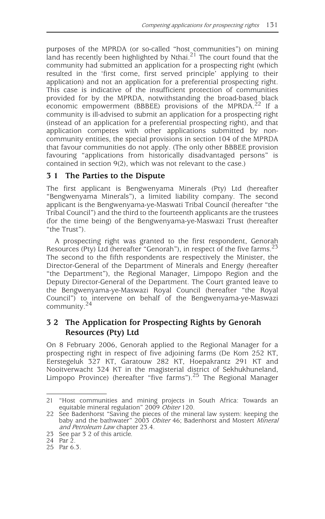purposes of the MPRDA (or so-called "host communities") on mining land has recently been highlighted by Nthai.<sup>21</sup> The court found that the community had submitted an application for a prospecting right (which resulted in the 'first come, first served principle' applying to their application) and not an application for a preferential prospecting right. This case is indicative of the insufficient protection of communities provided for by the MPRDA, notwithstanding the broad-based black economic empowerment (BBBEE) provisions of the MPRDA.<sup>22</sup> If a community is ill-advised to submit an application for a prospecting right (instead of an application for a preferential prospecting right), and that application competes with other applications submitted by noncommunity entities, the special provisions in section 104 of the MPRDA that favour communities do not apply. (The only other BBBEE provision favouring "applications from historically disadvantaged persons" is contained in section 9(2), which was not relevant to the case.)

#### **3 1 The Parties to the Dispute**

The first applicant is Bengwenyama Minerals (Pty) Ltd (hereafter "Bengwenyama Minerals"), a limited liability company. The second applicant is the Bengwenyama-ye-Maswati Tribal Council (hereafter "the Tribal Council") and the third to the fourteenth applicants are the trustees (for the time being) of the Bengwenyama-ye-Maswazi Trust (hereafter "the Trust").

A prospecting right was granted to the first respondent, Genorah Resources (Pty) Ltd (hereafter "Genorah"), in respect of the five farms.<sup>23</sup> The second to the fifth respondents are respectively the Minister, the Director-General of the Department of Minerals and Energy (hereafter "the Department"), the Regional Manager, Limpopo Region and the Deputy Director-General of the Department. The Court granted leave to the Bengwenyama-ye-Maswazi Royal Council (hereafter "the Royal Council") to intervene on behalf of the Bengwenyama-ye-Maswazi community.<sup>24</sup>

## **3 2 The Application for Prospecting Rights by Genorah Resources (Pty) Ltd**

On 8 February 2006, Genorah applied to the Regional Manager for a prospecting right in respect of five adjoining farms (De Kom 252 KT, Eerstegeluk 327 KT, Garatouw 282 KT, Hoepakrantz 291 KT and Nooitverwacht 324 KT in the magisterial district of Sekhukhuneland, Limpopo Province) (hereafter "five farms").<sup>25</sup> The Regional Manager

<sup>21 &</sup>quot;Host communities and mining projects in South Africa: Towards an equitable mineral regulation" 2009 Obiter 120.

<sup>22</sup> See Badenhorst "Saving the pieces of the mineral law system: keeping the baby and the bathwater" 2003 Obiter 46; Badenhorst and Mostert Mineral and Petroleum Law chapter 23.4.

<sup>23</sup> See par 3 2 of this article.

<sup>24</sup> Par 2.

<sup>25</sup> Par 6.3.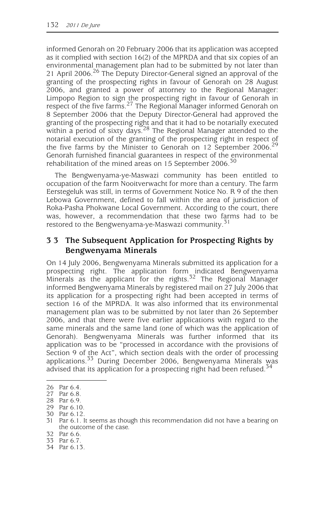informed Genorah on 20 February 2006 that its application was accepted as it complied with section 16(2) of the MPRDA and that six copies of an environmental management plan had to be submitted by not later than 21 April 2006.<sup>26</sup> The Deputy Director-General signed an approval of the granting of the prospecting rights in favour of Genorah on 28 August 2006, and granted a power of attorney to the Regional Manager: Limpopo Region to sign the prospecting right in favour of Genorah in respect of the five farms.<sup>27</sup> The Regional Manager informed Genorah on 8 September 2006 that the Deputy Director-General had approved the granting of the prospecting right and that it had to be notarially executed within a period of sixty days.<sup>28</sup> The Regional Manager attended to the notarial execution of the granting of the prospecting right in respect of the five farms by the Minister to Genorah on 12 September 2006.<sup>29</sup> Genorah furnished financial guarantees in respect of the environmental rehabilitation of the mined areas on 15 September 2006.<sup>30</sup>

The Bengwenyama-ye-Maswazi community has been entitled to occupation of the farm Nooitverwacht for more than a century. The farm Eerstegeluk was still, in terms of Government Notice No. R 9 of the then Lebowa Government, defined to fall within the area of jurisdiction of Roka-Pasha Phokwane Local Government. According to the court, there was, however, a recommendation that these two farms had to be restored to the Bengwenyama-ye-Maswazi community.<sup>31</sup>

#### **3 3 The Subsequent Application for Prospecting Rights by Bengwenyama Minerals**

On 14 July 2006, Bengwenyama Minerals submitted its application for a prospecting right. The application form indicated Bengwenyama Minerals as the applicant for the rights.<sup>32</sup> The Regional Manager informed Bengwenyama Minerals by registered mail on 27 July 2006 that its application for a prospecting right had been accepted in terms of section 16 of the MPRDA. It was also informed that its environmental management plan was to be submitted by not later than 26 September 2006, and that there were five earlier applications with regard to the same minerals and the same land (one of which was the application of Genorah). Bengwenyama Minerals was further informed that its application was to be "processed in accordance with the provisions of Section 9 of the Act", which section deals with the order of processing applications.<sup>33</sup> During December 2006, Bengwenyama Minerals was advised that its application for a prospecting right had been refused.<sup>34</sup>

<sup>26</sup> Par 6.4.

<sup>27</sup> Par 6.8.

<sup>28</sup> Par 6.9.

<sup>29</sup> Par 6.10.

<sup>30</sup> Par 6.12.

<sup>31</sup> Par 6.1. It seems as though this recommendation did not have a bearing on the outcome of the case.

<sup>32</sup> Par 6.6.

<sup>33</sup> Par 6.7.

<sup>34</sup> Par 6.13.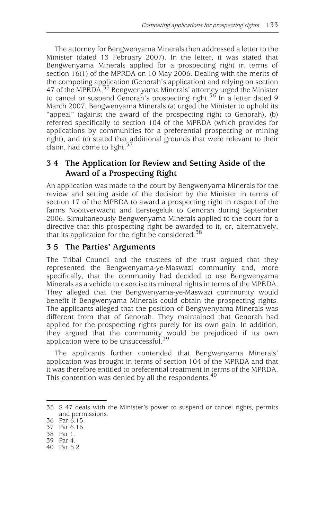The attorney for Bengwenyama Minerals then addressed a letter to the Minister (dated 13 February 2007). In the letter, it was stated that Bengwenyama Minerals applied for a prospecting right in terms of section 16(1) of the MPRDA on 10 May 2006. Dealing with the merits of the competing application (Genorah's application) and relying on section 47 of the MPRDA,<sup>35</sup> Bengwenyama Minerals' attorney urged the Minister to cancel or suspend Genorah's prospecting right.<sup>36</sup> In a letter dated 9 March 2007, Bengwenyama Minerals (a) urged the Minister to uphold its "appeal" (against the award of the prospecting right to Genorah), (b) referred specifically to section 104 of the MPRDA (which provides for applications by communities for a preferential prospecting or mining right), and (c) stated that additional grounds that were relevant to their claim, had come to light.<sup>37</sup>

## **3 4 The Application for Review and Setting Aside of the Award of a Prospecting Right**

An application was made to the court by Bengwenyama Minerals for the review and setting aside of the decision by the Minister in terms of section 17 of the MPRDA to award a prospecting right in respect of the farms Nooitverwacht and Eerstegeluk to Genorah during September 2006. Simultaneously Bengwenyama Minerals applied to the court for a directive that this prospecting right be awarded to it, or, alternatively, that its application for the right be considered. $38$ 

#### **3 5 The Parties' Arguments**

The Tribal Council and the trustees of the trust argued that they represented the Bengwenyama-ye-Maswazi community and, more specifically, that the community had decided to use Bengwenyama Minerals as a vehicle to exercise its mineral rights in terms of the MPRDA. They alleged that the Bengwenyama-ye-Maswazi community would benefit if Bengwenyama Minerals could obtain the prospecting rights. The applicants alleged that the position of Bengwenyama Minerals was different from that of Genorah. They maintained that Genorah had applied for the prospecting rights purely for its own gain. In addition, they argued that the community would be prejudiced if its own application were to be unsuccessful.<sup>39</sup>

The applicants further contended that Bengwenyama Minerals' application was brought in terms of section 104 of the MPRDA and that it was therefore entitled to preferential treatment in terms of the MPRDA. This contention was denied by all the respondents.<sup>40</sup>

40 Par 5.2

<sup>35</sup> S 47 deals with the Minister's power to suspend or cancel rights, permits and permissions.

<sup>36</sup> Par 6.15.

<sup>37</sup> Par 6.16.

<sup>38</sup> Par 1. 39 Par 4.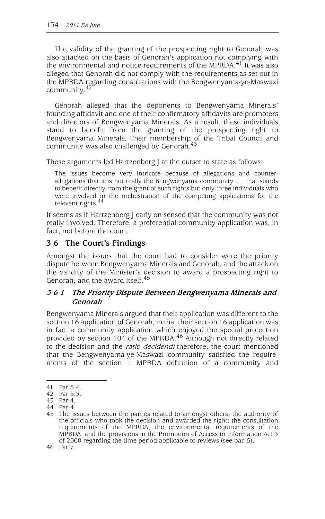The validity of the granting of the prospecting right to Genorah was also attacked on the basis of Genorah's application not complying with the environmental and notice requirements of the MPRDA. $41'$  It was also alleged that Genorah did not comply with the requirements as set out in the MPRDA regarding consultations with the Bengwenyama-ye-Maswazi community.<sup>42</sup>

Genorah alleged that the deponents to Bengwenyama Minerals' founding affidavit and one of their confirmatory affidavits are promoters and directors of Bengwenyama Minerals. As a result, these individuals stand to benefit from the granting of the prospecting right to Bengwenyama Minerals. Their membership of the Tribal Council and community was also challenged by Genorah.<sup>43</sup>

These arguments led Hartzenberg J at the outset to state as follows:

The issues become very intricate because of allegations and counterallegations that it is not really the Bengwenyama community …. that stands to benefit directly from the grant of such rights but only three individuals who were involved in the orchestration of the competing applications for the relevant rights.<sup>44</sup>

It seems as if Hartzenberg J early on sensed that the community was not really involved. Therefore, a preferential community application was, in fact, not before the court.

#### **3 6 The Court's Findings**

Amongst the issues that the court had to consider were the priority dispute between Bengwenyama Minerals and Genorah, and the attack on the validity of the Minister's decision to award a prospecting right to Genorah, and the award itself.<sup>45</sup>

#### **3 6 1 The Priority Dispute Between Bengwenyama Minerals and Genorah**

Bengwenyama Minerals argued that their application was different to the section 16 application of Genorah, in that their section 16 application was in fact a community application which enjoyed the special protection provided by section 104 of the MPRDA.<sup>46</sup> Although not directly related to the decision and the *ratio decidendi* therefore, the court mentioned that the Bengwenyama-ye-Maswazi community satisfied the requirements of the section 1 MPRDA definition of a community and

<sup>41</sup> Par 5.4.

<sup>42</sup> Par 5.3.

<sup>43</sup> Par 4.

<sup>44</sup> Par 4.

<sup>45</sup> The issues between the parties related to amongst others: the authority of the officials who took the decision and awarded the right; the consultation requirements of the MPRDA; the environmental requirements of the MPRDA, and the provisions in the Promotion of Access to Information Act 3 of 2000 regarding the time period applicable to reviews (see par. 5).

<sup>46</sup> Par 7.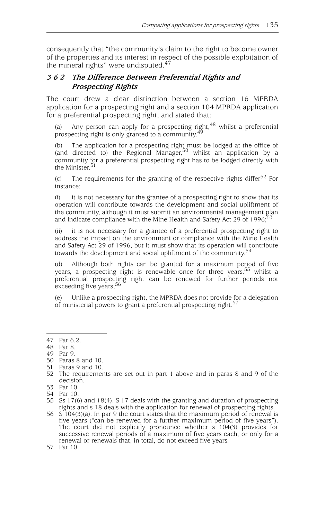consequently that "the community's claim to the right to become owner of the properties and its interest in respect of the possible exploitation of the mineral rights" were undisputed.<sup>47</sup>

#### **3 6 2 The Difference Between Preferential Rights and Prospecting Rights**

The court drew a clear distinction between a section 16 MPRDA application for a prospecting right and a section 104 MPRDA application for a preferential prospecting right, and stated that:

(a) Any person can apply for a prospecting right,  $48$  whilst a preferential prospecting right is only granted to a community.<sup>49</sup>

(b) The application for a prospecting right must be lodged at the office of (and directed to) the Regional Manager, $50$  whilst an application by a community for a preferential prospecting right has to be lodged directly with the Minister.<sup>51</sup>

(c) The requirements for the granting of the respective rights differ<sup>52</sup> For instance:

(i) it is not necessary for the grantee of a prospecting right to show that its operation will contribute towards the development and social upliftment of the community, although it must submit an environmental management plan and indicate compliance with the Mine Health and Safety Act 29 of 1996; $\frac{1}{2}$ 

(ii) it is not necessary for a grantee of a preferential prospecting right to address the impact on the environment or compliance with the Mine Health and Safety Act 29 of 1996, but it must show that its operation will contribute towards the development and social upliftment of the community.<sup>54</sup>

(d) Although both rights can be granted for a maximum period of five years, a prospecting right is renewable once for three years,<sup>55</sup> whilst a preferential prospecting right can be renewed for further periods not exceeding five years;<sup>56</sup>

(e) Unlike a prospecting right, the MPRDA does not provide for a delegation of ministerial powers to grant a preferential prospecting right.<sup>57</sup>

- 50 Paras 8 and 10.
- 51 Paras 9 and 10.

<sup>47</sup> Par 6.2.

<sup>48</sup> Par 8.

<sup>49</sup> Par 9.

<sup>52</sup> The requirements are set out in part 1 above and in paras 8 and 9 of the decision.

<sup>53</sup> Par 10.

<sup>54</sup> Par 10.

<sup>55</sup> Ss 17(6) and 18(4). S 17 deals with the granting and duration of prospecting rights and s 18 deals with the application for renewal of prospecting rights.

<sup>56</sup> S 104(3)(a). In par 9 the court states that the maximum period of renewal is five years ("can be renewed for a further maximum period of five years"). The court did not explicitly pronounce whether s 104(3) provides for successive renewal periods of a maximum of five years each, or only for a renewal or renewals that, in total, do not exceed five years.

<sup>57</sup> Par 10.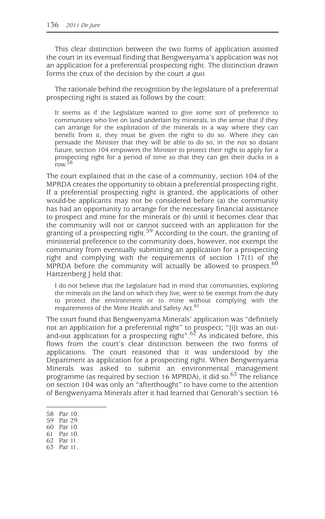This clear distinction between the two forms of application assisted the court in its eventual finding that Bengwenyama's application was not an application for a preferential prospecting right. The distinction drawn forms the crux of the decision by the court *a quo*.

The rationale behind the recognition by the legislature of a preferential prospecting right is stated as follows by the court:

It seems as if the Legislature wanted to give some sort of preference to communities who live on land underlain by minerals, in the sense that if they can arrange for the exploration of the minerals in a way where they can benefit from it, they must be given the right to do so. Where they can persuade the Minister that they will be able to do so, in the not so distant future, section 104 empowers the Minister to protect their right to apply for a prospecting right for a period of time so that they can get their ducks in a row.<sup>58</sup>

The court explained that in the case of a community, section 104 of the MPRDA creates the opportunity to obtain a preferential prospecting right. If a preferential prospecting right is granted, the applications of other would-be applicants may not be considered before (a) the community has had an opportunity to arrange for the necessary financial assistance to prospect and mine for the minerals or (b) until it becomes clear that the community will not or cannot succeed with an application for the granting of a prospecting right.<sup>59</sup> According to the court, the granting of ministerial preference to the community does, however, not exempt the community from eventually submitting an application for a prospecting right and complying with the requirements of section 17(1) of the MPRDA before the community will actually be allowed to prospect. $60$ Hartzenberg J held that:

I do not believe that the Legislature had in mind that communities, exploring the minerals on the land on which they live, were to be exempt from the duty to protect the environment or to mine without complying with the requirements of the Mine Health and Safety Act.<sup>61</sup>

The court found that Bengwenyama Minerals' application was "definitely not an application for a preferential right" to prospect; "[i]t was an outand-out application for a prospecting right".<sup>62</sup> As indicated before, this flows from the court's clear distinction between the two forms of applications. The court reasoned that it was understood by the Department as application for a prospecting right. When Bengwenyama Minerals was asked to submit an environmental management programme (as required by section 16 MPRDA), it did so.<sup>63</sup> The reliance on section 104 was only an "afterthought" to have come to the attention of Bengwenyama Minerals after it had learned that Genorah's section 16

<sup>58</sup> Par 10.

<sup>59</sup> Par 29.

<sup>60</sup> Par 10.

<sup>61</sup> Par 10.

<sup>62</sup> Par 11.

<sup>63</sup> Par 11.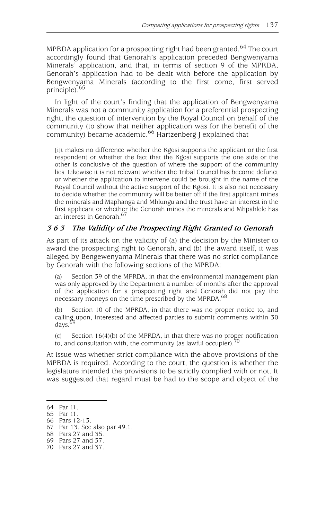MPRDA application for a prospecting right had been granted. $^{64}$  The court accordingly found that Genorah's application preceded Bengwenyama Minerals' application, and that, in terms of section 9 of the MPRDA, Genorah's application had to be dealt with before the application by Bengwenyama Minerals (according to the first come, first served principle).65

In light of the court's finding that the application of Bengwenyama Minerals was not a community application for a preferential prospecting right, the question of intervention by the Royal Council on behalf of the community (to show that neither application was for the benefit of the community) became academic.<sup>66</sup> Hartzenberg J explained that

[i]t makes no difference whether the Kgosi supports the applicant or the first respondent or whether the fact that the Kgosi supports the one side or the other is conclusive of the question of where the support of the community lies. Likewise it is not relevant whether the Tribal Council has become defunct or whether the application to intervene could be brought in the name of the Royal Council without the active support of the Kgosi. It is also not necessary to decide whether the community will be better off if the first applicant mines the minerals and Maphanga and Mhlungu and the trust have an interest in the first applicant or whether the Genorah mines the minerals and Mhpahlele has an interest in Genorah.<sup>67</sup>

#### **3 6 3 The Validity of the Prospecting Right Granted to Genorah**

As part of its attack on the validity of (a) the decision by the Minister to award the prospecting right to Genorah, and (b) the award itself, it was alleged by Bengewenyama Minerals that there was no strict compliance by Genorah with the following sections of the MPRDA:

(a) Section 39 of the MPRDA, in that the environmental management plan was only approved by the Department a number of months after the approval of the application for a prospecting right and Genorah did not pay the necessary moneys on the time prescribed by the MPRDA.<sup>68</sup>

(b) Section 10 of the MPRDA, in that there was no proper notice to, and calling upon, interested and affected parties to submit comments within 30 days. $69$ 

(c) Section  $16(4)$ (b) of the MPRDA, in that there was no proper notification to, and consultation with, the community (as lawful occupier).<sup>7</sup>

At issue was whether strict compliance with the above provisions of the MPRDA is required. According to the court, the question is whether the legislature intended the provisions to be strictly complied with or not. It was suggested that regard must be had to the scope and object of the

<sup>64</sup> Par 11.

<sup>65</sup> Par 11.

<sup>66</sup> Pars 12-13.

<sup>67</sup> Par 13. See also par 49.1.

<sup>68</sup> Pars 27 and 35.

<sup>69</sup> Pars 27 and 37.

<sup>70</sup> Pars 27 and 37.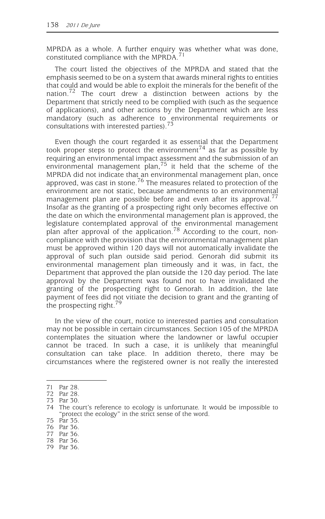MPRDA as a whole. A further enquiry was whether what was done, constituted compliance with the MPRDA.<sup>71</sup>

The court listed the objectives of the MPRDA and stated that the emphasis seemed to be on a system that awards mineral rights to entities that could and would be able to exploit the minerals for the benefit of the nation.<sup>72</sup> The court drew a distinction between actions by the Department that strictly need to be complied with (such as the sequence of applications), and other actions by the Department which are less mandatory (such as adherence to environmental requirements or consultations with interested parties).<sup>73</sup>

Even though the court regarded it as essential that the Department took proper steps to protect the environment<sup>74</sup> as far as possible by requiring an environmental impact assessment and the submission of an environmental management plan,  $75$  it held that the scheme of the MPRDA did not indicate that an environmental management plan, once approved, was cast in stone.<sup>76</sup> The measures related to protection of the environment are not static, because amendments to an environmental management plan are possible before and even after its approval.<sup>77</sup> Insofar as the granting of a prospecting right only becomes effective on the date on which the environmental management plan is approved, the legislature contemplated approval of the environmental management plan after approval of the application.78 According to the court, noncompliance with the provision that the environmental management plan must be approved within 120 days will not automatically invalidate the approval of such plan outside said period. Genorah did submit its environmental management plan timeously and it was, in fact, the Department that approved the plan outside the 120 day period. The late approval by the Department was found not to have invalidated the granting of the prospecting right to Genorah. In addition, the late payment of fees did not vitiate the decision to grant and the granting of the prospecting right.<sup>79</sup>

In the view of the court, notice to interested parties and consultation may not be possible in certain circumstances. Section 105 of the MPRDA contemplates the situation where the landowner or lawful occupier cannot be traced. In such a case, it is unlikely that meaningful consultation can take place. In addition thereto, there may be circumstances where the registered owner is not really the interested

<sup>71</sup> Par 28.

<sup>72</sup> Par 28.

<sup>73</sup> Par 30.

<sup>74</sup> The court's reference to ecology is unfortunate. It would be impossible to "protect the ecology" in the strict sense of the word.

<sup>75</sup> Par 35.

<sup>76</sup> Par 36.

<sup>77</sup> Par 36.

<sup>78</sup> Par 36.

<sup>79</sup> Par 36.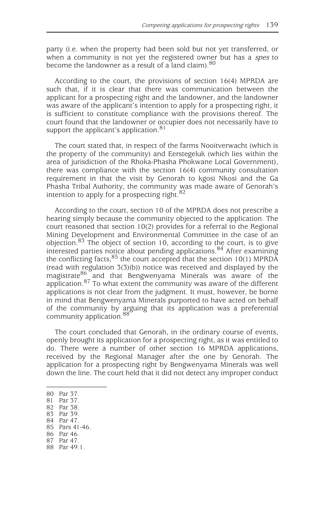party (i.e. when the property had been sold but not yet transferred, or when a community is not yet the registered owner but has a *spes* to become the landowner as a result of a land claim).<sup>80</sup>

According to the court, the provisions of section 16(4) MPRDA are such that, if it is clear that there was communication between the applicant for a prospecting right and the landowner, and the landowner was aware of the applicant's intention to apply for a prospecting right, it is sufficient to constitute compliance with the provisions thereof. The court found that the landowner or occupier does not necessarily have to support the applicant's application.<sup>81</sup>

The court stated that, in respect of the farms Nooitverwacht (which is the property of the community) and Eerstegeluk (which lies within the area of jurisdiction of the Rhoka-Phasha Phokwane Local Government), there was compliance with the section 16(4) community consultation requirement in that the visit by Genorah to kgosi Nkosi and the Ga Phasha Tribal Authority, the community was made aware of Genorah's intention to apply for a prospecting right.<sup>82</sup>

According to the court, section 10 of the MPRDA does not prescribe a hearing simply because the community objected to the application. The court reasoned that section 10(2) provides for a referral to the Regional Mining Development and Environmental Committee in the case of an objection.<sup>83</sup> The object of section 10, according to the court, is to give interested parties notice about pending applications.<sup>84</sup> After examining the conflicting facts,  $85$  the court accepted that the section 10(1) MPRDA (read with regulation 3(3)(b)) notice was received and displayed by the magistrate $\frac{86}{3}$  and that Bengwenyama Minerals was aware of the application.<sup>87</sup> To what extent the community was aware of the different applications is not clear from the judgment. It must, however, be borne in mind that Bengwenyama Minerals purported to have acted on behalf of the community by arguing that its application was a preferential community application.<sup>88</sup>

The court concluded that Genorah, in the ordinary course of events, openly brought its application for a prospecting right, as it was entitled to do. There were a number of other section 16 MPRDA applications, received by the Regional Manager after the one by Genorah. The application for a prospecting right by Bengwenyama Minerals was well down the line. The court held that it did not detect any improper conduct

<sup>80</sup> Par 37.

<sup>81</sup> Par 37.

<sup>82</sup> Par 38. 83 Par 39.

<sup>84</sup> Par 47.

<sup>85</sup> Pars 41-46.

<sup>86</sup> Par 46.

<sup>87</sup> Par 47.

<sup>88</sup> Par 49.1.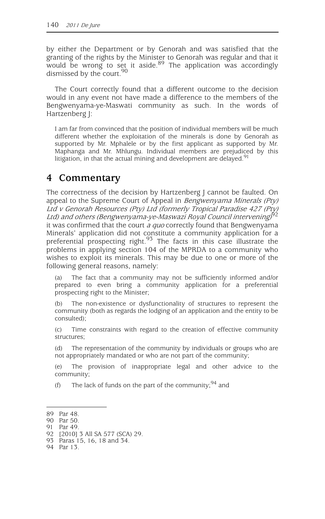by either the Department or by Genorah and was satisfied that the granting of the rights by the Minister to Genorah was regular and that it would be wrong to set it aside.<sup>89</sup> The application was accordingly dismissed by the court.<sup>90</sup>

The Court correctly found that a different outcome to the decision would in any event not have made a difference to the members of the Bengwenyama-ye-Maswati community as such. In the words of Hartzenberg J:

I am far from convinced that the position of individual members will be much different whether the exploitation of the minerals is done by Genorah as supported by Mr. Mphalele or by the first applicant as supported by Mr. Maphanga and Mr. Mhlungu. Individual members are prejudiced by this litigation, in that the actual mining and development are delayed.<sup>91</sup>

## **4 Commentary**

The correctness of the decision by Hartzenberg J cannot be faulted. On appeal to the Supreme Court of Appeal in Bengwenyama Minerals (Pty) Ltd v Genorah Resources (Pty) Ltd (formerly Tropical Paradise 427 (Pty) Ltd) and others (Bengwenyama-ye-Maswazi Royal Council intervening)<sup>62</sup> it was confirmed that the court *a quo* correctly found that Bengwenyama Minerals' application did not constitute a community application for a preferential prospecting right.<sup>93</sup> The facts in this case illustrate the problems in applying section 104 of the MPRDA to a community who wishes to exploit its minerals. This may be due to one or more of the following general reasons, namely:

(a) The fact that a community may not be sufficiently informed and/or prepared to even bring a community application for a preferential prospecting right to the Minister;

(b) The non-existence or dysfunctionality of structures to represent the community (both as regards the lodging of an application and the entity to be consulted);

(c) Time constraints with regard to the creation of effective community structures;

(d) The representation of the community by individuals or groups who are not appropriately mandated or who are not part of the community;

(e) The provision of inappropriate legal and other advice to the community;

(f) The lack of funds on the part of the community;  $94$  and

<sup>89</sup> Par 48.

<sup>90</sup> Par 50.

<sup>91</sup> Par 49.

<sup>92 [2010] 3</sup> All SA 577 (SCA) 29.

<sup>93</sup> Paras 15, 16, 18 and 34.

<sup>94</sup> Par 13.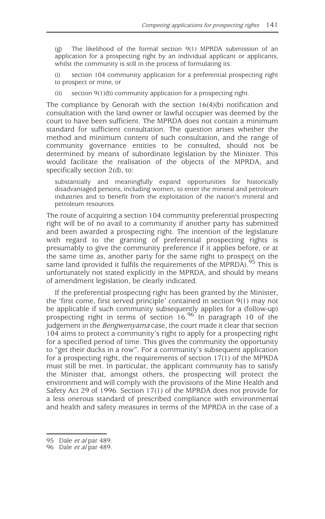(g) The likelihood of the formal section 9(1) MPRDA submission of an application for a prospecting right by an individual applicant or applicants, whilst the community is still in the process of formulating its:

(i) section 104 community application for a preferential prospecting right to prospect or mine, or

(ii) section 9(1)(b) community application for a prospecting right.

The compliance by Genorah with the section 16(4)(b) notification and consultation with the land owner or lawful occupier was deemed by the court to have been sufficient. The MPRDA does not contain a minimum standard for sufficient consultation. The question arises whether the method and minimum content of such consultation, and the range of community governance entities to be consulted, should not be determined by means of subordinate legislation by the Minister. This would facilitate the realisation of the objects of the MPRDA, and specifically section 2(d), to:

substantially and meaningfully expand opportunities for historically disadvantaged persons, including women, to enter the mineral and petroleum industries and to benefit from the exploitation of the nation's mineral and petroleum resources.

The route of acquiring a section 104 community preferential prospecting right will be of no avail to a community if another party has submitted and been awarded a prospecting right. The intention of the legislature with regard to the granting of preferential prospecting rights is presumably to give the community preference if it applies before, or at the same time as, another party for the same right to prospect on the same land (provided it fulfils the requirements of the MPRDA).  $95$  This is unfortunately not stated explicitly in the MPRDA, and should by means of amendment legislation, be clearly indicated.

If the preferential prospecting right has been granted by the Minister, the 'first come, first served principle' contained in section 9(1) may not be applicable if such community subsequently applies for a (follow-up) prospecting right in terms of section 16.<sup>96</sup> In paragraph 10 of the judgement in the Bengwenyama case, the court made it clear that section 104 aims to protect a community's right to apply for a prospecting right for a specified period of time. This gives the community the opportunity to "get their ducks in a row". For a community's subsequent application for a prospecting right, the requirements of section 17(1) of the MPRDA must still be met. In particular, the applicant community has to satisfy the Minister that, amongst others, the prospecting will protect the environment and will comply with the provisions of the Mine Health and Safety Act 29 of 1996. Section 17(1) of the MPRDA does not provide for a less onerous standard of prescribed compliance with environmental and health and safety measures in terms of the MPRDA in the case of a

<sup>95</sup> Dale et al par 489.

<sup>96</sup> Dale *et al* par 489.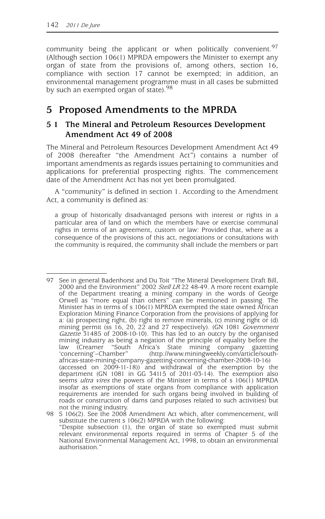community being the applicant or when politically convenient.<sup>97</sup> (Although section 106(1) MPRDA empowers the Minister to exempt any organ of state from the provisions of, among others, section 16, compliance with section 17 cannot be exempted; in addition, an environmental management programme must in all cases be submitted by such an exempted organ of state).<sup>98</sup>

# **5 Proposed Amendments to the MPRDA**

## **5 1 The Mineral and Petroleum Resources Development Amendment Act 49 of 2008**

The Mineral and Petroleum Resources Development Amendment Act 49 of 2008 (hereafter "the Amendment Act") contains a number of important amendments as regards issues pertaining to communities and applications for preferential prospecting rights. The commencement date of the Amendment Act has not yet been promulgated.

A "community" is defined in section 1. According to the Amendment Act, a community is defined as:

a group of historically disadvantaged persons with interest or rights in a particular area of land on which the members have or exercise communal rights in terms of an agreement, custom or law: Provided that, where as a consequence of the provisions of this act, negotiations or consultations with the community is required, the community shall include the members or part

<sup>97</sup> See in general Badenhorst and Du Toit "The Mineral Development Draft Bill, 2000 and the Environment" 2002 Stell LR 22 48-49. A more recent example of the Department treating a mining company in the words of George Orwell as "more equal than others" can be mentioned in passing. The Minister has in terms of s 106(1) MPRDA exempted the state owned African Exploration Mining Finance Corporation from the provisions of applying for a: (a) prospecting right, (b) right to remove minerals, (c) mining right or (d) mining permit (ss 16, 20, 22 and 27 respectively). (GN 1081 Government Gazette 31485 of 2008-10-10). This has led to an outcry by the organised mining industry as being a negation of the principle of equality before the law (Creamer "South Africa's State mining company gazetting law (Creamer "South Africa's State mining company<br>
'concerning'–Chamber" (http://www.miningweekly.com/ari (http://www.miningweekly.com/article/southafricas-state-mining-company-gazetting-concerning-chamber-2008-10-16) (accessed on 2009-11-18)) and withdrawal of the exemption by the department (GN 1081 in GG 34115 of 2011-03-14). The exemption also seems *ultra vires* the powers of the Minister in terms of s 106(1) MPRDA insofar as exemptions of state organs from compliance with application requirements are intended for such organs being involved in building of roads or construction of dams (and purposes related to such activities) but not the mining industry.

<sup>98</sup> S 106(2). See the 2008 Amendment Act which, after commencement, will substitute the current s 106(2) MPRDA with the following: "Despite subsection (1), the organ of state so exempted must submit relevant environmental reports required in terms of Chapter 5 of the National Environmental Management Act, 1998, to obtain an environmental authorisation."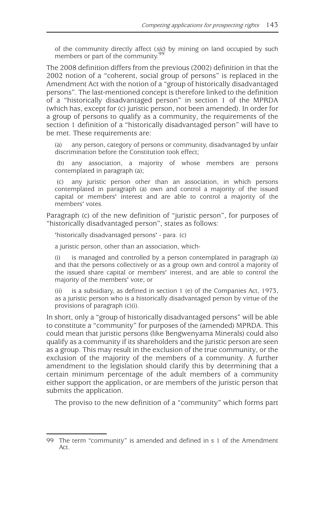of the community directly affect (sic) by mining on land occupied by such members or part of the community.99

The 2008 definition differs from the previous (2002) definition in that the 2002 notion of a "coherent, social group of persons" is replaced in the Amendment Act with the notion of a "group of historically disadvantaged persons". The last-mentioned concept is therefore linked to the definition of a "historically disadvantaged person" in section 1 of the MPRDA (which has, except for (c) juristic person, not been amended). In order for a group of persons to qualify as a community, the requirements of the section 1 definition of a "historically disadvantaged person" will have to be met. These requirements are:

(a) any person, category of persons or community, disadvantaged by unfair discrimination before the Constitution took effect;

 (b) any association, a majority of whose members are persons contemplated in paragraph (a);

 (c) any juristic person other than an association, in which persons contemplated in paragraph (a) own and control a majority of the issued capital or members' interest and are able to control a majority of the members' votes.

Paragraph (c) of the new definition of "juristic person", for purposes of "historically disadvantaged person", states as follows:

'historically disadvantaged persons' - para. (c)

a juristic person, other than an association, which-

is managed and controlled by a person contemplated in paragraph (a) and that the persons collectively or as a group own and control a majority of the issued share capital or members' interest, and are able to control the majority of the members' vote; or

(ii) is a subsidiary, as defined in section 1 (e) of the Companies Act, 1973, as a juristic person who is a historically disadvantaged person by virtue of the provisions of paragraph (c)(i).

In short, only a "group of historically disadvantaged persons" will be able to constitute a "community" for purposes of the (amended) MPRDA. This could mean that juristic persons (like Bengwenyama Minerals) could also qualify as a community if its shareholders and the juristic person are seen as a group. This may result in the exclusion of the true community, or the exclusion of the majority of the members of a community. A further amendment to the legislation should clarify this by determining that a certain minimum percentage of the adult members of a community either support the application, or are members of the juristic person that submits the application.

The proviso to the new definition of a "community" which forms part

<sup>99</sup> The term "community" is amended and defined in s 1 of the Amendment Act.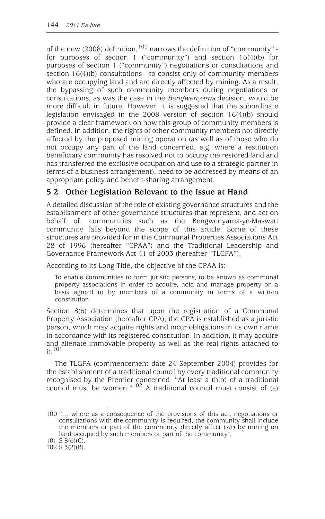of the new (2008) definition,<sup>100</sup> narrows the definition of "community" for purposes of section 1 ("community") and section 16(4)(b) for purposes of section 1 ("community") negotiations or consultations and section 16(4)(b) consultations - to consist only of community members who are occupying land and are directly affected by mining. As a result, the bypassing of such community members during negotiations or consultations, as was the case in the Bengwenyama decision, would be more difficult in future. However, it is suggested that the subordinate legislation envisaged in the 2008 version of section 16(4)(b) should provide a clear framework on how this group of community members is defined. In addition, the rights of other community members not directly affected by the proposed mining operation (as well as of those who do not occupy any part of the land concerned, e.g. where a restitution beneficiary community has resolved not to occupy the restored land and has transferred the exclusive occupation and use to a strategic partner in terms of a business arrangement), need to be addressed by means of an appropriate policy and benefit-sharing arrangement.

## **5 2 Other Legislation Relevant to the Issue at Hand**

A detailed discussion of the role of existing governance structures and the establishment of other governance structures that represent, and act on behalf of, communities such as the Bengwenyama-ye-Maswati community falls beyond the scope of this article. Some of these structures are provided for in the Communal Properties Associations Act 28 of 1996 (hereafter "CPAA") and the Traditional Leadership and Governance Framework Act 41 of 2003 (hereafter "TLGFA").

According to its Long Title, the objective of the CPAA is:

To enable communities to form juristic persons, to be known as communal property associations in order to acquire, hold and manage property on a basis agreed to by members of a community in terms of a written constitution.

Section 8(6) determines that upon the registration of a Communal Property Association (hereafter CPA), the CPA is established as a juristic person, which may acquire rights and incur obligations in its own name in accordance with its registered constitution. In addition, it may acquire and alienate immovable property as well as the real rights attached to it.101

The TLGFA (commencement date 24 September 2004) provides for the establishment of a traditional council by every traditional community recognised by the Premier concerned. "At least a third of a traditional council must be women." $102$  A traditional council must consist of (a)

<sup>100 &</sup>quot;… where as a consequence of the provisions of this act, negotiations or consultations with the community is required, the community shall include the members or part of the community directly affect (sic) by mining on land occupied by such members or part of the community".

<sup>101</sup> S 8(6)(C).

<sup>102</sup> S 3(2)(B).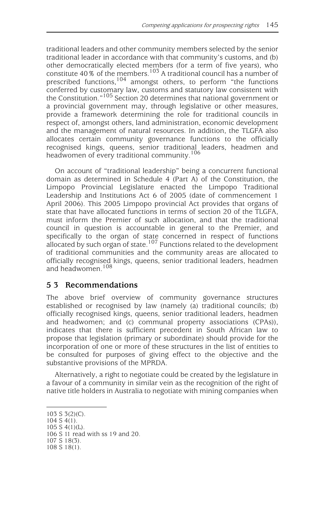traditional leaders and other community members selected by the senior traditional leader in accordance with that community's customs, and (b) other democratically elected members (for a term of five years), who constitute  $40\%$  of the members.<sup>103</sup> A traditional council has a number of prescribed functions,104 amongst others, to perform "the functions conferred by customary law, customs and statutory law consistent with the Constitution."105 Section 20 determines that national government or a provincial government may, through legislative or other measures, provide a framework determining the role for traditional councils in respect of, amongst others, land administration, economic development and the management of natural resources. In addition, the TLGFA also allocates certain community governance functions to the officially recognised kings, queens, senior traditional leaders, headmen and headwomen of every traditional community.<sup>106</sup>

On account of "traditional leadership" being a concurrent functional domain as determined in Schedule 4 (Part A) of the Constitution, the Limpopo Provincial Legislature enacted the Limpopo Traditional Leadership and Institutions Act 6 of 2005 (date of commencement 1 April 2006). This 2005 Limpopo provincial Act provides that organs of state that have allocated functions in terms of section 20 of the TLGFA, must inform the Premier of such allocation, and that the traditional council in question is accountable in general to the Premier, and specifically to the organ of state concerned in respect of functions allocated by such organ of state.<sup>107</sup> Functions related to the development of traditional communities and the community areas are allocated to officially recognised kings, queens, senior traditional leaders, headmen and headwomen.<sup>108</sup>

#### **5 3 Recommendations**

The above brief overview of community governance structures established or recognised by law (namely (a) traditional councils; (b) officially recognised kings, queens, senior traditional leaders, headmen and headwomen; and (c) communal property associations (CPAs)), indicates that there is sufficient precedent in South African law to propose that legislation (primary or subordinate) should provide for the incorporation of one or more of these structures in the list of entities to be consulted for purposes of giving effect to the objective and the substantive provisions of the MPRDA.

Alternatively, a right to negotiate could be created by the legislature in a favour of a community in similar vein as the recognition of the right of native title holders in Australia to negotiate with mining companies when

- 107 S 18(3).
- 108 S 18(1).

<sup>103</sup> S 3(2)(C).

<sup>104</sup> S 4(1).

<sup>105</sup> S 4(1)(L).

<sup>106</sup> S 11 read with ss 19 and 20.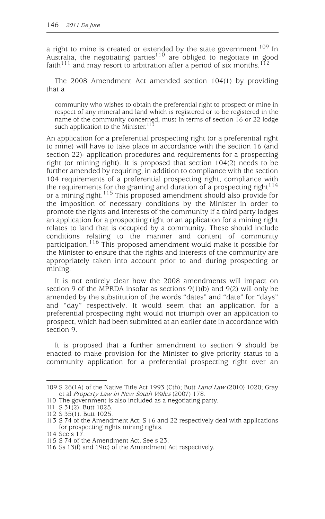a right to mine is created or extended by the state government.<sup>109</sup> In  $\frac{1}{2}$  and  $\frac{1}{2}$  are  $\frac{1}{2}$  are obliged to negotiate in good faith<sup>111</sup> and may resort to arbitration after a period of six months.<sup>112</sup>

The 2008 Amendment Act amended section 104(1) by providing that a

community who wishes to obtain the preferential right to prospect or mine in respect of any mineral and land which is registered or to be registered in the name of the community concerned, must in terms of section 16 or 22 lodge such application to the Minister. $113$ 

An application for a preferential prospecting right (or a preferential right to mine) will have to take place in accordance with the section 16 (and section 22)- application procedures and requirements for a prospecting right (or mining right). It is proposed that section 104(2) needs to be further amended by requiring, in addition to compliance with the section 104 requirements of a preferential prospecting right, compliance with the requirements for the granting and duration of a prospecting right  $114$ or a mining right.<sup>115</sup> This proposed amendment should also provide for the imposition of necessary conditions by the Minister in order to promote the rights and interests of the community if a third party lodges an application for a prospecting right or an application for a mining right relates to land that is occupied by a community. These should include conditions relating to the manner and content of community participation.<sup>116</sup> This proposed amendment would make it possible for the Minister to ensure that the rights and interests of the community are appropriately taken into account prior to and during prospecting or mining.

It is not entirely clear how the 2008 amendments will impact on section 9 of the MPRDA insofar as sections 9(1)(b) and 9(2) will only be amended by the substitution of the words "dates" and "date" for "days" and "day" respectively. It would seem that an application for a preferential prospecting right would not triumph over an application to prospect, which had been submitted at an earlier date in accordance with section 9.

It is proposed that a further amendment to section 9 should be enacted to make provision for the Minister to give priority status to a community application for a preferential prospecting right over an

<sup>109</sup> S 26(1A) of the Native Title Act 1993 (Cth); Butt Land Law (2010) 1020; Gray et al Property Law in New South Wales (2007) 178.

<sup>110</sup> The government is also included as a negotiating party.

<sup>111</sup> S 31(2). Butt 1025.

<sup>112</sup> S 35(1). Butt 1025.

<sup>113</sup> S 74 of the Amendment Act; S 16 and 22 respectively deal with applications for prospecting rights mining rights.

<sup>114</sup> See s 17.

<sup>115</sup> S 74 of the Amendment Act. See s 23.

<sup>116</sup> Ss 13(f) and 19(c) of the Amendment Act respectively.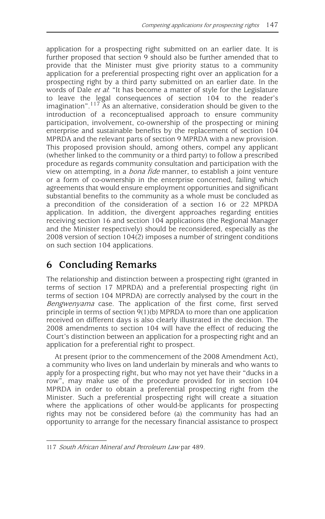application for a prospecting right submitted on an earlier date. It is further proposed that section 9 should also be further amended that to provide that the Minister must give priority status to a community application for a preferential prospecting right over an application for a prospecting right by a third party submitted on an earlier date. In the words of Dale et al: "It has become a matter of style for the Legislature to leave the legal consequences of section 104 to the reader's imagination".<sup>117</sup> As an alternative, consideration should be given to the introduction of a reconceptualised approach to ensure community participation, involvement, co-ownership of the prospecting or mining enterprise and sustainable benefits by the replacement of section 104 MPRDA and the relevant parts of section 9 MPRDA with a new provision. This proposed provision should, among others, compel any applicant (whether linked to the community or a third party) to follow a prescribed procedure as regards community consultation and participation with the view on attempting, in a *bona fide* manner, to establish a joint venture or a form of co-ownership in the enterprise concerned, failing which agreements that would ensure employment opportunities and significant substantial benefits to the community as a whole must be concluded as a precondition of the consideration of a section 16 or 22 MPRDA application. In addition, the divergent approaches regarding entities receiving section 16 and section 104 applications (the Regional Manager and the Minister respectively) should be reconsidered, especially as the 2008 version of section 104(2) imposes a number of stringent conditions on such section 104 applications.

# **6 Concluding Remarks**

The relationship and distinction between a prospecting right (granted in terms of section 17 MPRDA) and a preferential prospecting right (in terms of section 104 MPRDA) are correctly analysed by the court in the Bengwenyama case. The application of the first come, first served principle in terms of section 9(1)(b) MPRDA to more than one application received on different days is also clearly illustrated in the decision. The 2008 amendments to section 104 will have the effect of reducing the Court's distinction between an application for a prospecting right and an application for a preferential right to prospect.

At present (prior to the commencement of the 2008 Amendment Act), a community who lives on land underlain by minerals and who wants to apply for a prospecting right, but who may not yet have their "ducks in a row", may make use of the procedure provided for in section 104 MPRDA in order to obtain a preferential prospecting right from the Minister. Such a preferential prospecting right will create a situation where the applications of other would-be applicants for prospecting rights may not be considered before (a) the community has had an opportunity to arrange for the necessary financial assistance to prospect

<sup>117</sup> South African Mineral and Petroleum Law par 489.